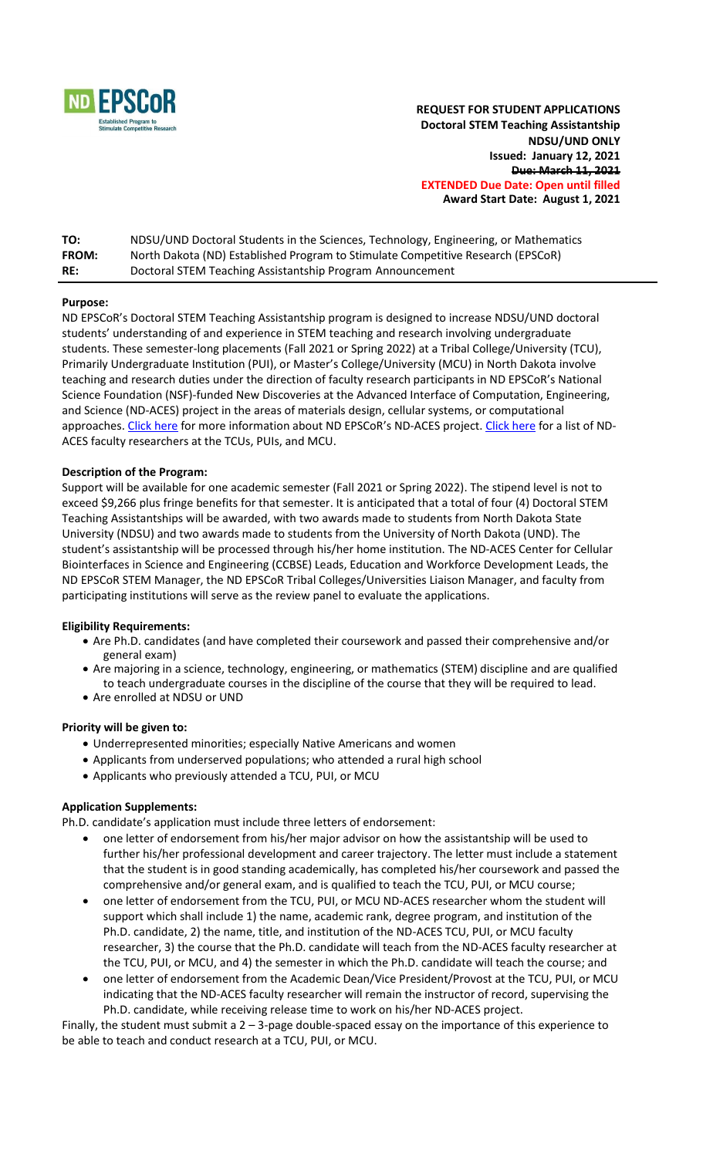

**REQUEST FOR STUDENT APPLICATIONS Doctoral STEM Teaching Assistantship NDSU/UND ONLY Issued: January 12, 2021 Due: March 11, 2021 EXTENDED Due Date: Open until filled Award Start Date: August 1, 2021**

| TO:          | NDSU/UND Doctoral Students in the Sciences, Technology, Engineering, or Mathematics |
|--------------|-------------------------------------------------------------------------------------|
| <b>FROM:</b> | North Dakota (ND) Established Program to Stimulate Competitive Research (EPSCoR)    |
| RE:          | Doctoral STEM Teaching Assistantship Program Announcement                           |

# **Purpose:**

ND EPSCoR's Doctoral STEM Teaching Assistantship program is designed to increase NDSU/UND doctoral students' understanding of and experience in STEM teaching and research involving undergraduate students. These semester-long placements (Fall 2021 or Spring 2022) at a Tribal College/University (TCU), Primarily Undergraduate Institution (PUI), or Master's College/University (MCU) in North Dakota involve teaching and research duties under the direction of faculty research participants in ND EPSCoR's National Science Foundation (NSF)-funded New Discoveries at the Advanced Interface of Computation, Engineering, and Science (ND-ACES) project in the areas of materials design, cellular systems, or computational approaches. [Click here](https://www.ndepscor.ndus.edu/ndepscorprograms/track-1-nd-aces-prime-institution-ndsu/) for more information about ND EPSCoR's ND-ACES project. [Click here](https://www.ndepscor.ndus.edu/fileadmin/ndus/ndepscor/STEM/STEM_Asst._Researchers_list.pdf) for a list of ND-ACES faculty researchers at the TCUs, PUIs, and MCU.

# **Description of the Program:**

Support will be available for one academic semester (Fall 2021 or Spring 2022). The stipend level is not to exceed \$9,266 plus fringe benefits for that semester. It is anticipated that a total of four (4) Doctoral STEM Teaching Assistantships will be awarded, with two awards made to students from North Dakota State University (NDSU) and two awards made to students from the University of North Dakota (UND). The student's assistantship will be processed through his/her home institution. The ND-ACES Center for Cellular Biointerfaces in Science and Engineering (CCBSE) Leads, Education and Workforce Development Leads, the ND EPSCoR STEM Manager, the ND EPSCoR Tribal Colleges/Universities Liaison Manager, and faculty from participating institutions will serve as the review panel to evaluate the applications.

## **Eligibility Requirements:**

- Are Ph.D. candidates (and have completed their coursework and passed their comprehensive and/or general exam)
- Are majoring in a science, technology, engineering, or mathematics (STEM) discipline and are qualified to teach undergraduate courses in the discipline of the course that they will be required to lead.
- Are enrolled at NDSU or UND

## **Priority will be given to:**

- Underrepresented minorities; especially Native Americans and women
- Applicants from underserved populations; who attended a rural high school
- Applicants who previously attended a TCU, PUI, or MCU

# **Application Supplements:**

Ph.D. candidate's application must include three letters of endorsement:

- one letter of endorsement from his/her major advisor on how the assistantship will be used to further his/her professional development and career trajectory. The letter must include a statement that the student is in good standing academically, has completed his/her coursework and passed the comprehensive and/or general exam, and is qualified to teach the TCU, PUI, or MCU course;
- one letter of endorsement from the TCU, PUI, or MCU ND-ACES researcher whom the student will support which shall include 1) the name, academic rank, degree program, and institution of the Ph.D. candidate, 2) the name, title, and institution of the ND-ACES TCU, PUI, or MCU faculty researcher, 3) the course that the Ph.D. candidate will teach from the ND-ACES faculty researcher at the TCU, PUI, or MCU, and 4) the semester in which the Ph.D. candidate will teach the course; and
- one letter of endorsement from the Academic Dean/Vice President/Provost at the TCU, PUI, or MCU indicating that the ND-ACES faculty researcher will remain the instructor of record, supervising the Ph.D. candidate, while receiving release time to work on his/her ND-ACES project.

Finally, the student must submit a 2 – 3-page double-spaced essay on the importance of this experience to be able to teach and conduct research at a TCU, PUI, or MCU.